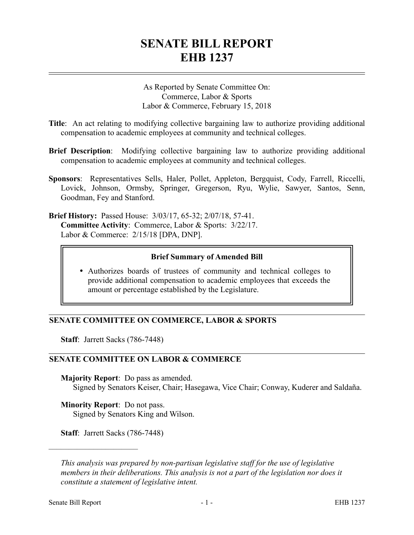# **SENATE BILL REPORT EHB 1237**

As Reported by Senate Committee On: Commerce, Labor & Sports Labor & Commerce, February 15, 2018

- **Title**: An act relating to modifying collective bargaining law to authorize providing additional compensation to academic employees at community and technical colleges.
- **Brief Description**: Modifying collective bargaining law to authorize providing additional compensation to academic employees at community and technical colleges.
- **Sponsors**: Representatives Sells, Haler, Pollet, Appleton, Bergquist, Cody, Farrell, Riccelli, Lovick, Johnson, Ormsby, Springer, Gregerson, Ryu, Wylie, Sawyer, Santos, Senn, Goodman, Fey and Stanford.
- **Brief History:** Passed House: 3/03/17, 65-32; 2/07/18, 57-41. **Committee Activity**: Commerce, Labor & Sports: 3/22/17. Labor & Commerce: 2/15/18 [DPA, DNP].

### **Brief Summary of Amended Bill**

 Authorizes boards of trustees of community and technical colleges to provide additional compensation to academic employees that exceeds the amount or percentage established by the Legislature.

# **SENATE COMMITTEE ON COMMERCE, LABOR & SPORTS**

**Staff**: Jarrett Sacks (786-7448)

### **SENATE COMMITTEE ON LABOR & COMMERCE**

**Majority Report**: Do pass as amended. Signed by Senators Keiser, Chair; Hasegawa, Vice Chair; Conway, Kuderer and Saldaña.

**Minority Report**: Do not pass. Signed by Senators King and Wilson.

**Staff**: Jarrett Sacks (786-7448)

––––––––––––––––––––––

*This analysis was prepared by non-partisan legislative staff for the use of legislative members in their deliberations. This analysis is not a part of the legislation nor does it constitute a statement of legislative intent.*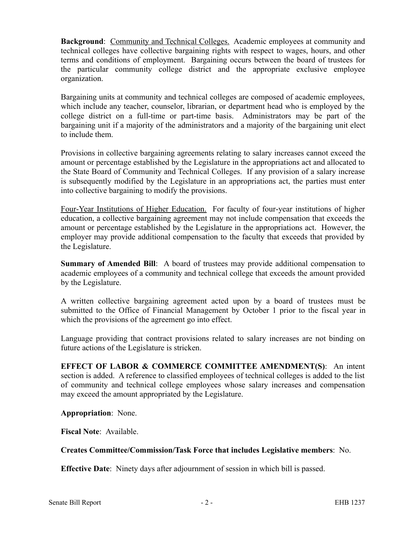**Background**: Community and Technical Colleges. Academic employees at community and technical colleges have collective bargaining rights with respect to wages, hours, and other terms and conditions of employment. Bargaining occurs between the board of trustees for the particular community college district and the appropriate exclusive employee organization.

Bargaining units at community and technical colleges are composed of academic employees, which include any teacher, counselor, librarian, or department head who is employed by the college district on a full-time or part-time basis. Administrators may be part of the bargaining unit if a majority of the administrators and a majority of the bargaining unit elect to include them.

Provisions in collective bargaining agreements relating to salary increases cannot exceed the amount or percentage established by the Legislature in the appropriations act and allocated to the State Board of Community and Technical Colleges. If any provision of a salary increase is subsequently modified by the Legislature in an appropriations act, the parties must enter into collective bargaining to modify the provisions.

Four-Year Institutions of Higher Education. For faculty of four-year institutions of higher education, a collective bargaining agreement may not include compensation that exceeds the amount or percentage established by the Legislature in the appropriations act. However, the employer may provide additional compensation to the faculty that exceeds that provided by the Legislature.

**Summary of Amended Bill**: A board of trustees may provide additional compensation to academic employees of a community and technical college that exceeds the amount provided by the Legislature.

A written collective bargaining agreement acted upon by a board of trustees must be submitted to the Office of Financial Management by October 1 prior to the fiscal year in which the provisions of the agreement go into effect.

Language providing that contract provisions related to salary increases are not binding on future actions of the Legislature is stricken.

**EFFECT OF LABOR & COMMERCE COMMITTEE AMENDMENT(S)**: An intent section is added. A reference to classified employees of technical colleges is added to the list of community and technical college employees whose salary increases and compensation may exceed the amount appropriated by the Legislature.

**Appropriation**: None.

**Fiscal Note**: Available.

# **Creates Committee/Commission/Task Force that includes Legislative members**: No.

**Effective Date**: Ninety days after adjournment of session in which bill is passed.